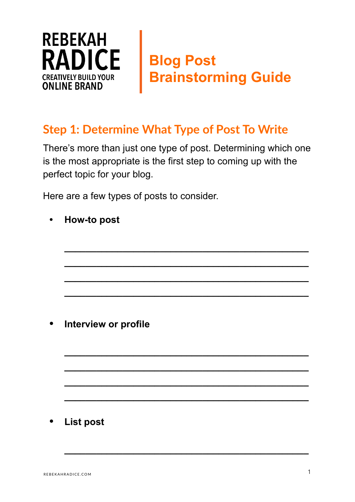

## **Blog Post Brainstorming Guide**

## **Step 1: Determine What Type of Post To Write**

There's more than just one type of post. Determining which one is the most appropriate is the first step to coming up with the perfect topic for your blog.

**\_\_\_\_\_\_\_\_\_\_\_\_\_\_\_\_\_\_\_\_\_\_\_\_\_\_\_\_\_\_\_\_\_\_\_\_\_\_\_\_\_\_\_\_\_\_**

**\_\_\_\_\_\_\_\_\_\_\_\_\_\_\_\_\_\_\_\_\_\_\_\_\_\_\_\_\_\_\_\_\_\_\_\_\_\_\_\_\_\_\_\_\_\_**

**\_\_\_\_\_\_\_\_\_\_\_\_\_\_\_\_\_\_\_\_\_\_\_\_\_\_\_\_\_\_\_\_\_\_\_\_\_\_\_\_\_\_\_\_\_\_**

**\_\_\_\_\_\_\_\_\_\_\_\_\_\_\_\_\_\_\_\_\_\_\_\_\_\_\_\_\_\_\_\_\_\_\_\_\_\_\_\_\_\_\_\_\_\_**

**\_\_\_\_\_\_\_\_\_\_\_\_\_\_\_\_\_\_\_\_\_\_\_\_\_\_\_\_\_\_\_\_\_\_\_\_\_\_\_\_\_\_\_\_\_\_**

**\_\_\_\_\_\_\_\_\_\_\_\_\_\_\_\_\_\_\_\_\_\_\_\_\_\_\_\_\_\_\_\_\_\_\_\_\_\_\_\_\_\_\_\_\_\_**

**\_\_\_\_\_\_\_\_\_\_\_\_\_\_\_\_\_\_\_\_\_\_\_\_\_\_\_\_\_\_\_\_\_\_\_\_\_\_\_\_\_\_\_\_\_\_**

**\_\_\_\_\_\_\_\_\_\_\_\_\_\_\_\_\_\_\_\_\_\_\_\_\_\_\_\_\_\_\_\_\_\_\_\_\_\_\_\_\_\_\_\_\_\_**

**\_\_\_\_\_\_\_\_\_\_\_\_\_\_\_\_\_\_\_\_\_\_\_\_\_\_\_\_\_\_\_\_\_\_\_\_\_\_\_\_\_\_\_\_\_\_**

Here are a few types of posts to consider.

**• How-to post** 

 **• Interview or profile**

 **• List post**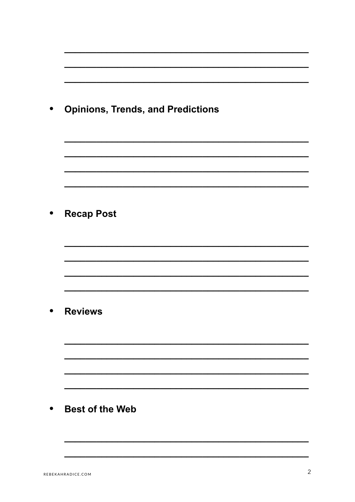| <b>Opinions, Trends, and Predictions</b> |
|------------------------------------------|
|                                          |
|                                          |
| <b>Recap Post</b>                        |
|                                          |
|                                          |
|                                          |
| <b>Reviews</b>                           |
|                                          |
|                                          |
| <b>Best of the Web</b>                   |
|                                          |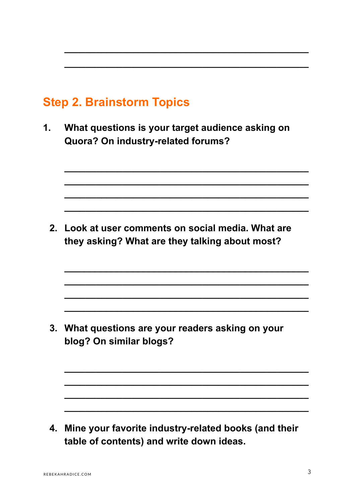## **Step 2. Brainstorm Topics**

**1. What questions is your target audience asking on Quora? On industry-related forums?** 

**\_\_\_\_\_\_\_\_\_\_\_\_\_\_\_\_\_\_\_\_\_\_\_\_\_\_\_\_\_\_\_\_\_\_\_\_\_\_\_\_\_\_\_\_\_\_**

**\_\_\_\_\_\_\_\_\_\_\_\_\_\_\_\_\_\_\_\_\_\_\_\_\_\_\_\_\_\_\_\_\_\_\_\_\_\_\_\_\_\_\_\_\_\_**

**\_\_\_\_\_\_\_\_\_\_\_\_\_\_\_\_\_\_\_\_\_\_\_\_\_\_\_\_\_\_\_\_\_\_\_\_\_\_\_\_\_\_\_\_\_\_**

**\_\_\_\_\_\_\_\_\_\_\_\_\_\_\_\_\_\_\_\_\_\_\_\_\_\_\_\_\_\_\_\_\_\_\_\_\_\_\_\_\_\_\_\_\_\_**

**\_\_\_\_\_\_\_\_\_\_\_\_\_\_\_\_\_\_\_\_\_\_\_\_\_\_\_\_\_\_\_\_\_\_\_\_\_\_\_\_\_\_\_\_\_\_**

**\_\_\_\_\_\_\_\_\_\_\_\_\_\_\_\_\_\_\_\_\_\_\_\_\_\_\_\_\_\_\_\_\_\_\_\_\_\_\_\_\_\_\_\_\_\_**

**\_\_\_\_\_\_\_\_\_\_\_\_\_\_\_\_\_\_\_\_\_\_\_\_\_\_\_\_\_\_\_\_\_\_\_\_\_\_\_\_\_\_\_\_\_\_**

**\_\_\_\_\_\_\_\_\_\_\_\_\_\_\_\_\_\_\_\_\_\_\_\_\_\_\_\_\_\_\_\_\_\_\_\_\_\_\_\_\_\_\_\_\_\_**

**\_\_\_\_\_\_\_\_\_\_\_\_\_\_\_\_\_\_\_\_\_\_\_\_\_\_\_\_\_\_\_\_\_\_\_\_\_\_\_\_\_\_\_\_\_\_**

**\_\_\_\_\_\_\_\_\_\_\_\_\_\_\_\_\_\_\_\_\_\_\_\_\_\_\_\_\_\_\_\_\_\_\_\_\_\_\_\_\_\_\_\_\_\_**

**\_\_\_\_\_\_\_\_\_\_\_\_\_\_\_\_\_\_\_\_\_\_\_\_\_\_\_\_\_\_\_\_\_\_\_\_\_\_\_\_\_\_\_\_\_\_**

**\_\_\_\_\_\_\_\_\_\_\_\_\_\_\_\_\_\_\_\_\_\_\_\_\_\_\_\_\_\_\_\_\_\_\_\_\_\_\_\_\_\_\_\_\_\_**

**\_\_\_\_\_\_\_\_\_\_\_\_\_\_\_\_\_\_\_\_\_\_\_\_\_\_\_\_\_\_\_\_\_\_\_\_\_\_\_\_\_\_\_\_\_\_**

**\_\_\_\_\_\_\_\_\_\_\_\_\_\_\_\_\_\_\_\_\_\_\_\_\_\_\_\_\_\_\_\_\_\_\_\_\_\_\_\_\_\_\_\_\_\_**

 **2. Look at user comments on social media. What are they asking? What are they talking about most?** 

 **3. What questions are your readers asking on your blog? On similar blogs?**

 **4. Mine your favorite industry-related books (and their table of contents) and write down ideas.**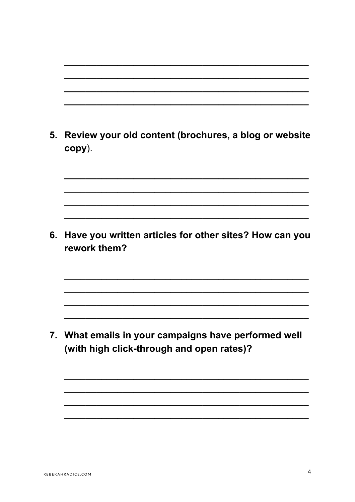| 5. | Review your old content (brochures, a blog or website<br>copy).                                |
|----|------------------------------------------------------------------------------------------------|
|    |                                                                                                |
| 6. | Have you written articles for other sites? How can you<br>rework them?                         |
|    |                                                                                                |
|    | What emails in your campaigns have performed well<br>(with high click-through and open rates)? |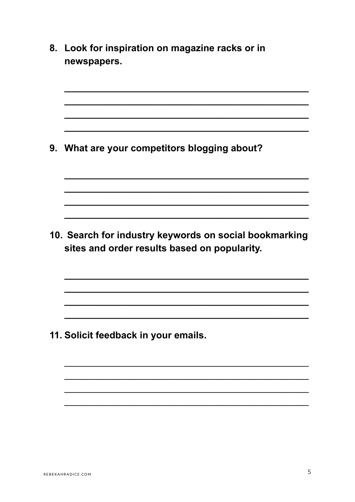8. Look for inspiration on magazine racks or in newspapers. 9. What are your competitors blogging about? 10. Search for industry keywords on social bookmarking sites and order results based on popularity. 11. Solicit feedback in your emails.